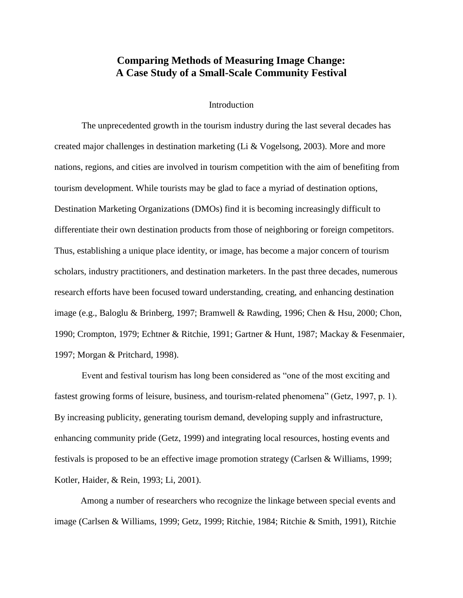# **Comparing Methods of Measuring Image Change: A Case Study of a Small-Scale Community Festival**

# Introduction

The unprecedented growth in the tourism industry during the last several decades has created major challenges in destination marketing (Li & Vogelsong, 2003). More and more nations, regions, and cities are involved in tourism competition with the aim of benefiting from tourism development. While tourists may be glad to face a myriad of destination options, Destination Marketing Organizations (DMOs) find it is becoming increasingly difficult to differentiate their own destination products from those of neighboring or foreign competitors. Thus, establishing a unique place identity, or image, has become a major concern of tourism scholars, industry practitioners, and destination marketers. In the past three decades, numerous research efforts have been focused toward understanding, creating, and enhancing destination image (e.g., Baloglu & Brinberg, 1997; Bramwell & Rawding, 1996; Chen & Hsu, 2000; Chon, 1990; Crompton, 1979; Echtner & Ritchie, 1991; Gartner & Hunt, 1987; Mackay & Fesenmaier, 1997; Morgan & Pritchard, 1998).

Event and festival tourism has long been considered as "one of the most exciting and fastest growing forms of leisure, business, and tourism-related phenomena" (Getz, 1997, p. 1). By increasing publicity, generating tourism demand, developing supply and infrastructure, enhancing community pride (Getz, 1999) and integrating local resources, hosting events and festivals is proposed to be an effective image promotion strategy (Carlsen & Williams, 1999; Kotler, Haider, & Rein, 1993; Li, 2001).

Among a number of researchers who recognize the linkage between special events and image (Carlsen & Williams, 1999; Getz, 1999; Ritchie, 1984; Ritchie & Smith, 1991), Ritchie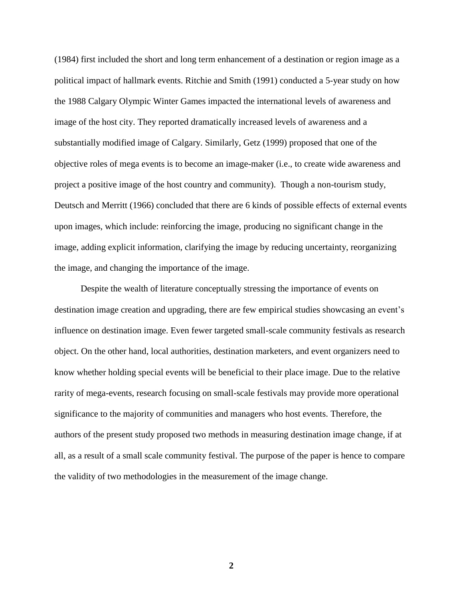(1984) first included the short and long term enhancement of a destination or region image as a political impact of hallmark events. Ritchie and Smith (1991) conducted a 5-year study on how the 1988 Calgary Olympic Winter Games impacted the international levels of awareness and image of the host city. They reported dramatically increased levels of awareness and a substantially modified image of Calgary. Similarly, Getz (1999) proposed that one of the objective roles of mega events is to become an image-maker (i.e., to create wide awareness and project a positive image of the host country and community). Though a non-tourism study, Deutsch and Merritt (1966) concluded that there are 6 kinds of possible effects of external events upon images, which include: reinforcing the image, producing no significant change in the image, adding explicit information, clarifying the image by reducing uncertainty, reorganizing the image, and changing the importance of the image.

Despite the wealth of literature conceptually stressing the importance of events on destination image creation and upgrading, there are few empirical studies showcasing an event's influence on destination image. Even fewer targeted small-scale community festivals as research object. On the other hand, local authorities, destination marketers, and event organizers need to know whether holding special events will be beneficial to their place image. Due to the relative rarity of mega-events, research focusing on small-scale festivals may provide more operational significance to the majority of communities and managers who host events. Therefore, the authors of the present study proposed two methods in measuring destination image change, if at all, as a result of a small scale community festival. The purpose of the paper is hence to compare the validity of two methodologies in the measurement of the image change.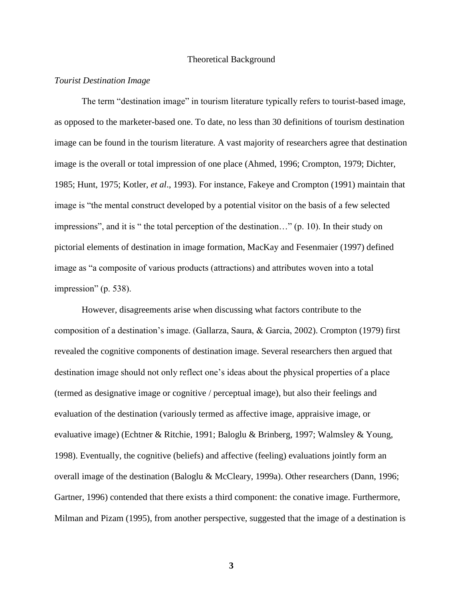#### Theoretical Background

#### *Tourist Destination Image*

The term "destination image" in tourism literature typically refers to tourist-based image, as opposed to the marketer-based one. To date, no less than 30 definitions of tourism destination image can be found in the tourism literature. A vast majority of researchers agree that destination image is the overall or total impression of one place (Ahmed, 1996; Crompton, 1979; Dichter, 1985; Hunt, 1975; Kotler, *et al*., 1993). For instance, Fakeye and Crompton (1991) maintain that image is "the mental construct developed by a potential visitor on the basis of a few selected impressions", and it is " the total perception of the destination…" (p. 10). In their study on pictorial elements of destination in image formation, MacKay and Fesenmaier (1997) defined image as "a composite of various products (attractions) and attributes woven into a total impression" (p. 538).

However, disagreements arise when discussing what factors contribute to the composition of a destination's image. (Gallarza, Saura, & Garcia, 2002). Crompton (1979) first revealed the cognitive components of destination image. Several researchers then argued that destination image should not only reflect one's ideas about the physical properties of a place (termed as designative image or cognitive / perceptual image), but also their feelings and evaluation of the destination (variously termed as affective image, appraisive image, or evaluative image) (Echtner & Ritchie, 1991; Baloglu & Brinberg, 1997; Walmsley & Young, 1998). Eventually, the cognitive (beliefs) and affective (feeling) evaluations jointly form an overall image of the destination (Baloglu & McCleary, 1999a). Other researchers (Dann, 1996; Gartner, 1996) contended that there exists a third component: the conative image. Furthermore, Milman and Pizam (1995), from another perspective, suggested that the image of a destination is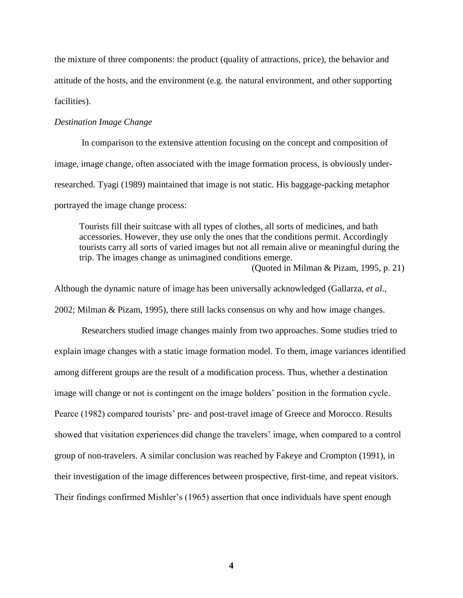the mixture of three components: the product (quality of attractions, price), the behavior and attitude of the hosts, and the environment (e.g. the natural environment, and other supporting facilities).

# *Destination Image Change*

In comparison to the extensive attention focusing on the concept and composition of image, image change, often associated with the image formation process, is obviously underresearched. Tyagi (1989) maintained that image is not static. His baggage-packing metaphor portrayed the image change process:

Tourists fill their suitcase with all types of clothes, all sorts of medicines, and bath accessories. However, they use only the ones that the conditions permit. Accordingly tourists carry all sorts of varied images but not all remain alive or meaningful during the trip. The images change as unimagined conditions emerge. (Quoted in Milman & Pizam, 1995, p. 21)

Although the dynamic nature of image has been universally acknowledged (Gallarza, *et al*., 2002; Milman & Pizam, 1995), there still lacks consensus on why and how image changes.

Researchers studied image changes mainly from two approaches. Some studies tried to explain image changes with a static image formation model. To them, image variances identified among different groups are the result of a modification process. Thus, whether a destination image will change or not is contingent on the image holders' position in the formation cycle. Pearce (1982) compared tourists' pre- and post-travel image of Greece and Morocco. Results showed that visitation experiences did change the travelers' image, when compared to a control group of non-travelers. A similar conclusion was reached by Fakeye and Crompton (1991), in their investigation of the image differences between prospective, first-time, and repeat visitors. Their findings confirmed Mishler's (1965) assertion that once individuals have spent enough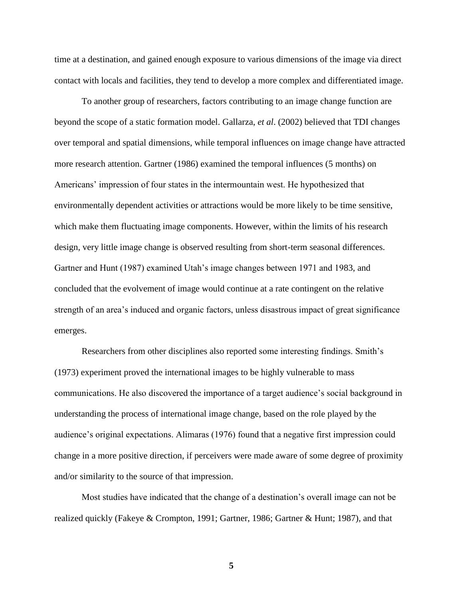time at a destination, and gained enough exposure to various dimensions of the image via direct contact with locals and facilities, they tend to develop a more complex and differentiated image.

To another group of researchers, factors contributing to an image change function are beyond the scope of a static formation model. Gallarza, *et al*. (2002) believed that TDI changes over temporal and spatial dimensions, while temporal influences on image change have attracted more research attention. Gartner (1986) examined the temporal influences (5 months) on Americans' impression of four states in the intermountain west. He hypothesized that environmentally dependent activities or attractions would be more likely to be time sensitive, which make them fluctuating image components. However, within the limits of his research design, very little image change is observed resulting from short-term seasonal differences. Gartner and Hunt (1987) examined Utah's image changes between 1971 and 1983, and concluded that the evolvement of image would continue at a rate contingent on the relative strength of an area's induced and organic factors, unless disastrous impact of great significance emerges.

Researchers from other disciplines also reported some interesting findings. Smith's (1973) experiment proved the international images to be highly vulnerable to mass communications. He also discovered the importance of a target audience's social background in understanding the process of international image change, based on the role played by the audience's original expectations. Alimaras (1976) found that a negative first impression could change in a more positive direction, if perceivers were made aware of some degree of proximity and/or similarity to the source of that impression.

Most studies have indicated that the change of a destination's overall image can not be realized quickly (Fakeye & Crompton, 1991; Gartner, 1986; Gartner & Hunt; 1987), and that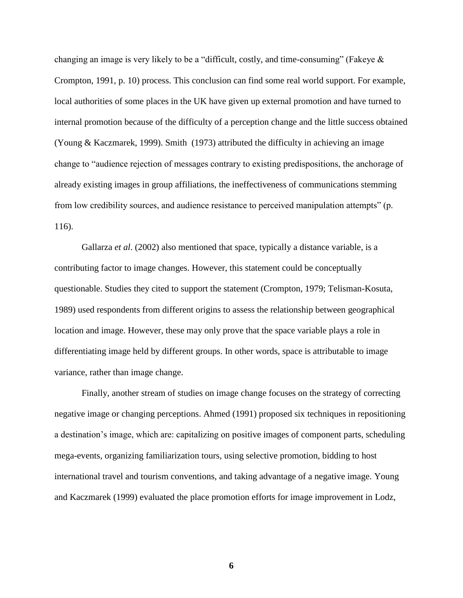changing an image is very likely to be a "difficult, costly, and time-consuming" (Fakeye  $\&$ Crompton, 1991, p. 10) process. This conclusion can find some real world support. For example, local authorities of some places in the UK have given up external promotion and have turned to internal promotion because of the difficulty of a perception change and the little success obtained (Young & Kaczmarek, 1999). Smith (1973) attributed the difficulty in achieving an image change to "audience rejection of messages contrary to existing predispositions, the anchorage of already existing images in group affiliations, the ineffectiveness of communications stemming from low credibility sources, and audience resistance to perceived manipulation attempts" (p. 116).

Gallarza *et al*. (2002) also mentioned that space, typically a distance variable, is a contributing factor to image changes. However, this statement could be conceptually questionable. Studies they cited to support the statement (Crompton, 1979; Telisman-Kosuta, 1989) used respondents from different origins to assess the relationship between geographical location and image. However, these may only prove that the space variable plays a role in differentiating image held by different groups. In other words, space is attributable to image variance, rather than image change.

Finally, another stream of studies on image change focuses on the strategy of correcting negative image or changing perceptions. Ahmed (1991) proposed six techniques in repositioning a destination's image, which are: capitalizing on positive images of component parts, scheduling mega-events, organizing familiarization tours, using selective promotion, bidding to host international travel and tourism conventions, and taking advantage of a negative image. Young and Kaczmarek (1999) evaluated the place promotion efforts for image improvement in Lodz,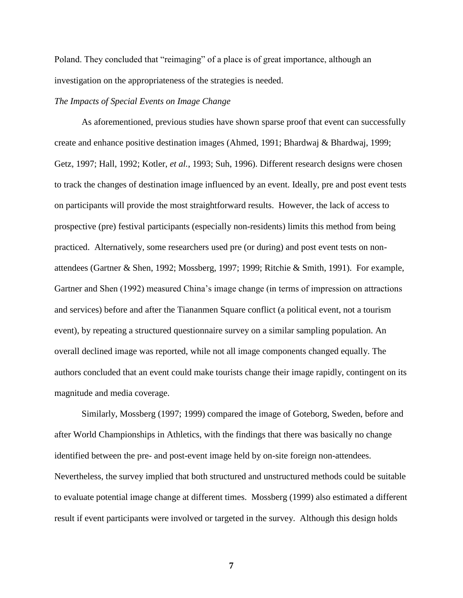Poland. They concluded that "reimaging" of a place is of great importance, although an investigation on the appropriateness of the strategies is needed.

# *The Impacts of Special Events on Image Change*

As aforementioned, previous studies have shown sparse proof that event can successfully create and enhance positive destination images (Ahmed, 1991; Bhardwaj & Bhardwaj, 1999; Getz, 1997; Hall, 1992; Kotler, *et al.*, 1993; Suh, 1996). Different research designs were chosen to track the changes of destination image influenced by an event. Ideally, pre and post event tests on participants will provide the most straightforward results. However, the lack of access to prospective (pre) festival participants (especially non-residents) limits this method from being practiced. Alternatively, some researchers used pre (or during) and post event tests on nonattendees (Gartner & Shen, 1992; Mossberg, 1997; 1999; Ritchie & Smith, 1991). For example, Gartner and Shen (1992) measured China's image change (in terms of impression on attractions and services) before and after the Tiananmen Square conflict (a political event, not a tourism event), by repeating a structured questionnaire survey on a similar sampling population. An overall declined image was reported, while not all image components changed equally. The authors concluded that an event could make tourists change their image rapidly, contingent on its magnitude and media coverage.

Similarly, Mossberg (1997; 1999) compared the image of Goteborg, Sweden, before and after World Championships in Athletics, with the findings that there was basically no change identified between the pre- and post-event image held by on-site foreign non-attendees. Nevertheless, the survey implied that both structured and unstructured methods could be suitable to evaluate potential image change at different times. Mossberg (1999) also estimated a different result if event participants were involved or targeted in the survey. Although this design holds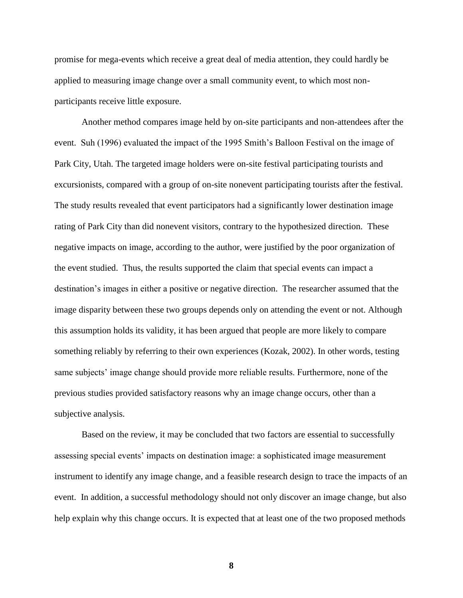promise for mega-events which receive a great deal of media attention, they could hardly be applied to measuring image change over a small community event, to which most nonparticipants receive little exposure.

Another method compares image held by on-site participants and non-attendees after the event. Suh (1996) evaluated the impact of the 1995 Smith's Balloon Festival on the image of Park City, Utah. The targeted image holders were on-site festival participating tourists and excursionists, compared with a group of on-site nonevent participating tourists after the festival. The study results revealed that event participators had a significantly lower destination image rating of Park City than did nonevent visitors, contrary to the hypothesized direction. These negative impacts on image, according to the author, were justified by the poor organization of the event studied. Thus, the results supported the claim that special events can impact a destination's images in either a positive or negative direction. The researcher assumed that the image disparity between these two groups depends only on attending the event or not. Although this assumption holds its validity, it has been argued that people are more likely to compare something reliably by referring to their own experiences (Kozak, 2002). In other words, testing same subjects' image change should provide more reliable results. Furthermore, none of the previous studies provided satisfactory reasons why an image change occurs, other than a subjective analysis.

Based on the review, it may be concluded that two factors are essential to successfully assessing special events' impacts on destination image: a sophisticated image measurement instrument to identify any image change, and a feasible research design to trace the impacts of an event. In addition, a successful methodology should not only discover an image change, but also help explain why this change occurs. It is expected that at least one of the two proposed methods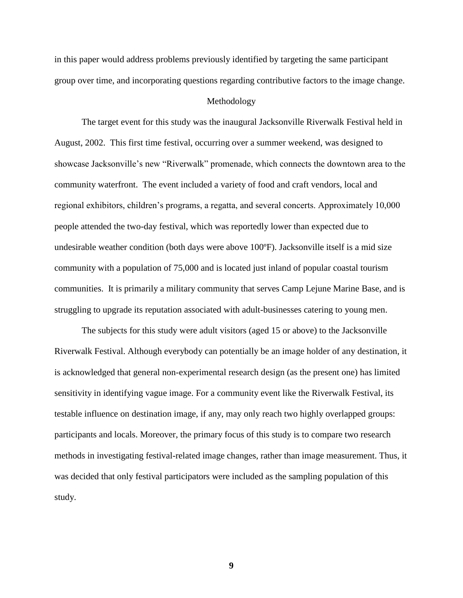in this paper would address problems previously identified by targeting the same participant group over time, and incorporating questions regarding contributive factors to the image change.

# Methodology

The target event for this study was the inaugural Jacksonville Riverwalk Festival held in August, 2002. This first time festival, occurring over a summer weekend, was designed to showcase Jacksonville's new "Riverwalk" promenade, which connects the downtown area to the community waterfront. The event included a variety of food and craft vendors, local and regional exhibitors, children's programs, a regatta, and several concerts. Approximately 10,000 people attended the two-day festival, which was reportedly lower than expected due to undesirable weather condition (both days were above 100ºF). Jacksonville itself is a mid size community with a population of 75,000 and is located just inland of popular coastal tourism communities. It is primarily a military community that serves Camp Lejune Marine Base, and is struggling to upgrade its reputation associated with adult-businesses catering to young men.

The subjects for this study were adult visitors (aged 15 or above) to the Jacksonville Riverwalk Festival. Although everybody can potentially be an image holder of any destination, it is acknowledged that general non-experimental research design (as the present one) has limited sensitivity in identifying vague image. For a community event like the Riverwalk Festival, its testable influence on destination image, if any, may only reach two highly overlapped groups: participants and locals. Moreover, the primary focus of this study is to compare two research methods in investigating festival-related image changes, rather than image measurement. Thus, it was decided that only festival participators were included as the sampling population of this study.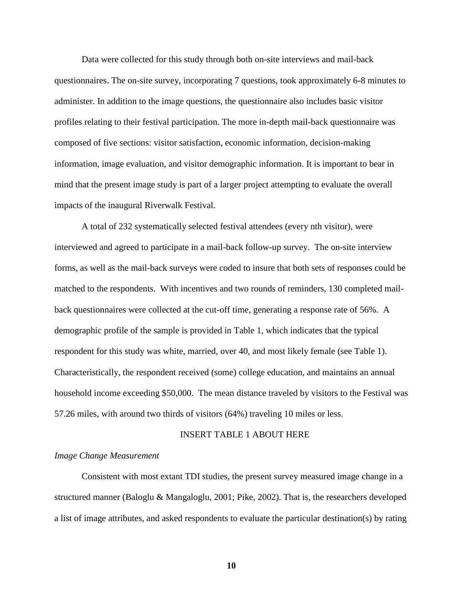Data were collected for this study through both on-site interviews and mail-back questionnaires. The on-site survey, incorporating 7 questions, took approximately 6-8 minutes to administer. In addition to the image questions, the questionnaire also includes basic visitor profiles relating to their festival participation. The more in-depth mail-back questionnaire was composed of five sections: visitor satisfaction, economic information, decision-making information, image evaluation, and visitor demographic information. It is important to bear in mind that the present image study is part of a larger project attempting to evaluate the overall impacts of the inaugural Riverwalk Festival.

A total of 232 systematically selected festival attendees (every nth visitor), were interviewed and agreed to participate in a mail-back follow-up survey. The on-site interview forms, as well as the mail-back surveys were coded to insure that both sets of responses could be matched to the respondents. With incentives and two rounds of reminders, 130 completed mailback questionnaires were collected at the cut-off time, generating a response rate of 56%. A demographic profile of the sample is provided in Table 1, which indicates that the typical respondent for this study was white, married, over 40, and most likely female (see Table 1). Characteristically, the respondent received (some) college education, and maintains an annual household income exceeding \$50,000. The mean distance traveled by visitors to the Festival was 57.26 miles, with around two thirds of visitors (64%) traveling 10 miles or less.

#### INSERT TABLE 1 ABOUT HERE

#### *Image Change Measurement*

Consistent with most extant TDI studies, the present survey measured image change in a structured manner (Baloglu & Mangaloglu, 2001; Pike, 2002). That is, the researchers developed a list of image attributes, and asked respondents to evaluate the particular destination(s) by rating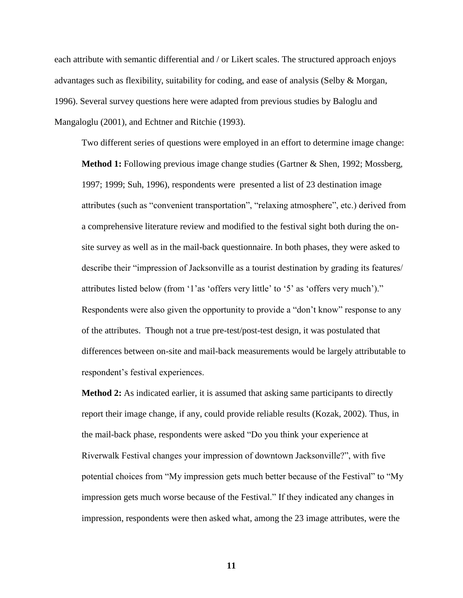each attribute with semantic differential and / or Likert scales. The structured approach enjoys advantages such as flexibility, suitability for coding, and ease of analysis (Selby & Morgan, 1996). Several survey questions here were adapted from previous studies by Baloglu and Mangaloglu (2001), and Echtner and Ritchie (1993).

Two different series of questions were employed in an effort to determine image change:

**Method 1:** Following previous image change studies (Gartner & Shen, 1992; Mossberg, 1997; 1999; Suh, 1996), respondents were presented a list of 23 destination image attributes (such as "convenient transportation", "relaxing atmosphere", etc.) derived from a comprehensive literature review and modified to the festival sight both during the onsite survey as well as in the mail-back questionnaire. In both phases, they were asked to describe their "impression of Jacksonville as a tourist destination by grading its features/ attributes listed below (from  $\lq$ <sup>1</sup>'as  $\lq$ offers very little' to  $\lq$ <sup>5</sup>' as  $\lq$ offers very much')." Respondents were also given the opportunity to provide a "don't know" response to any of the attributes. Though not a true pre-test/post-test design, it was postulated that differences between on-site and mail-back measurements would be largely attributable to respondent's festival experiences.

**Method 2:** As indicated earlier, it is assumed that asking same participants to directly report their image change, if any, could provide reliable results (Kozak, 2002). Thus, in the mail-back phase, respondents were asked "Do you think your experience at Riverwalk Festival changes your impression of downtown Jacksonville?", with five potential choices from "My impression gets much better because of the Festival" to "My impression gets much worse because of the Festival." If they indicated any changes in impression, respondents were then asked what, among the 23 image attributes, were the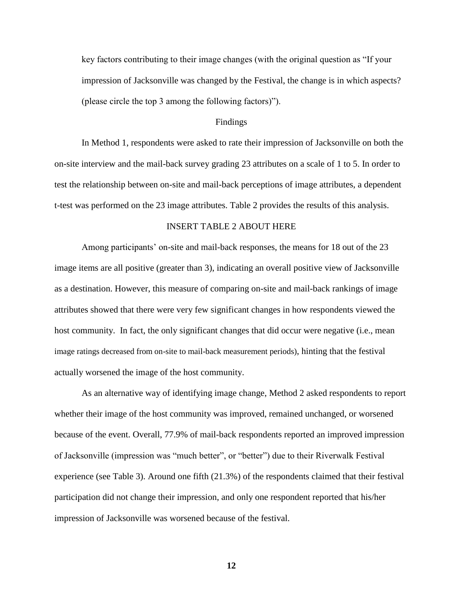key factors contributing to their image changes (with the original question as "If your impression of Jacksonville was changed by the Festival, the change is in which aspects? (please circle the top 3 among the following factors)").

### Findings

In Method 1, respondents were asked to rate their impression of Jacksonville on both the on-site interview and the mail-back survey grading 23 attributes on a scale of 1 to 5. In order to test the relationship between on-site and mail-back perceptions of image attributes, a dependent t-test was performed on the 23 image attributes. Table 2 provides the results of this analysis.

# INSERT TABLE 2 ABOUT HERE

Among participants' on-site and mail-back responses, the means for 18 out of the 23 image items are all positive (greater than 3), indicating an overall positive view of Jacksonville as a destination. However, this measure of comparing on-site and mail-back rankings of image attributes showed that there were very few significant changes in how respondents viewed the host community. In fact, the only significant changes that did occur were negative (i.e., mean image ratings decreased from on-site to mail-back measurement periods), hinting that the festival actually worsened the image of the host community.

As an alternative way of identifying image change, Method 2 asked respondents to report whether their image of the host community was improved, remained unchanged, or worsened because of the event. Overall, 77.9% of mail-back respondents reported an improved impression of Jacksonville (impression was "much better", or "better") due to their Riverwalk Festival experience (see Table 3). Around one fifth (21.3%) of the respondents claimed that their festival participation did not change their impression, and only one respondent reported that his/her impression of Jacksonville was worsened because of the festival.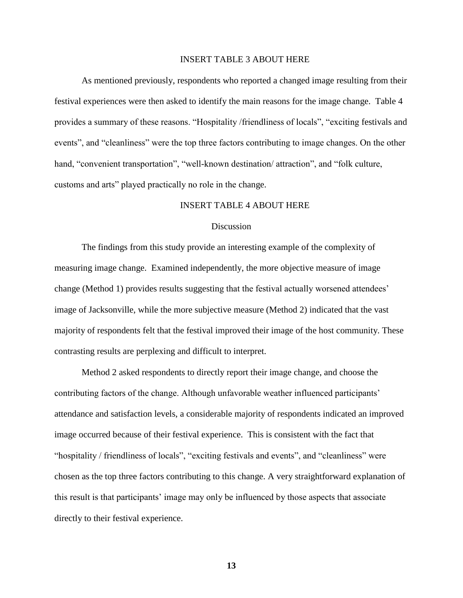# INSERT TABLE 3 ABOUT HERE

As mentioned previously, respondents who reported a changed image resulting from their festival experiences were then asked to identify the main reasons for the image change. Table 4 provides a summary of these reasons. "Hospitality /friendliness of locals", "exciting festivals and events", and "cleanliness" were the top three factors contributing to image changes. On the other hand, "convenient transportation", "well-known destination/ attraction", and "folk culture, customs and arts" played practically no role in the change.

# INSERT TABLE 4 ABOUT HERE

#### **Discussion**

The findings from this study provide an interesting example of the complexity of measuring image change. Examined independently, the more objective measure of image change (Method 1) provides results suggesting that the festival actually worsened attendees' image of Jacksonville, while the more subjective measure (Method 2) indicated that the vast majority of respondents felt that the festival improved their image of the host community. These contrasting results are perplexing and difficult to interpret.

Method 2 asked respondents to directly report their image change, and choose the contributing factors of the change. Although unfavorable weather influenced participants' attendance and satisfaction levels, a considerable majority of respondents indicated an improved image occurred because of their festival experience. This is consistent with the fact that "hospitality / friendliness of locals", "exciting festivals and events", and "cleanliness" were chosen as the top three factors contributing to this change. A very straightforward explanation of this result is that participants' image may only be influenced by those aspects that associate directly to their festival experience.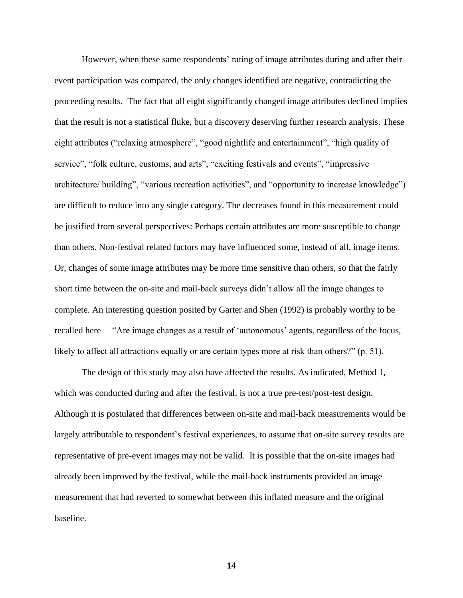However, when these same respondents' rating of image attributes during and after their event participation was compared, the only changes identified are negative, contradicting the proceeding results. The fact that all eight significantly changed image attributes declined implies that the result is not a statistical fluke, but a discovery deserving further research analysis. These eight attributes ("relaxing atmosphere", "good nightlife and entertainment", "high quality of service", "folk culture, customs, and arts", "exciting festivals and events", "impressive architecture/ building", "various recreation activities", and "opportunity to increase knowledge") are difficult to reduce into any single category. The decreases found in this measurement could be justified from several perspectives: Perhaps certain attributes are more susceptible to change than others. Non-festival related factors may have influenced some, instead of all, image items. Or, changes of some image attributes may be more time sensitive than others, so that the fairly short time between the on-site and mail-back surveys didn't allow all the image changes to complete. An interesting question posited by Garter and Shen (1992) is probably worthy to be recalled here— "Are image changes as a result of 'autonomous' agents, regardless of the focus, likely to affect all attractions equally or are certain types more at risk than others?" (p. 51).

The design of this study may also have affected the results. As indicated, Method 1, which was conducted during and after the festival, is not a true pre-test/post-test design. Although it is postulated that differences between on-site and mail-back measurements would be largely attributable to respondent's festival experiences, to assume that on-site survey results are representative of pre-event images may not be valid. It is possible that the on-site images had already been improved by the festival, while the mail-back instruments provided an image measurement that had reverted to somewhat between this inflated measure and the original baseline.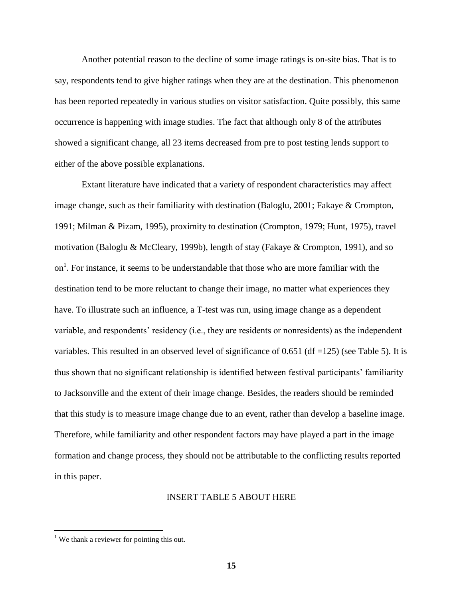Another potential reason to the decline of some image ratings is on-site bias. That is to say, respondents tend to give higher ratings when they are at the destination. This phenomenon has been reported repeatedly in various studies on visitor satisfaction. Quite possibly, this same occurrence is happening with image studies. The fact that although only 8 of the attributes showed a significant change, all 23 items decreased from pre to post testing lends support to either of the above possible explanations.

Extant literature have indicated that a variety of respondent characteristics may affect image change, such as their familiarity with destination (Baloglu, 2001; Fakaye & Crompton, 1991; Milman & Pizam, 1995), proximity to destination (Crompton, 1979; Hunt, 1975), travel motivation (Baloglu & McCleary, 1999b), length of stay (Fakaye & Crompton, 1991), and so on<sup>1</sup>. For instance, it seems to be understandable that those who are more familiar with the destination tend to be more reluctant to change their image, no matter what experiences they have. To illustrate such an influence, a T-test was run, using image change as a dependent variable, and respondents' residency (i.e., they are residents or nonresidents) as the independent variables. This resulted in an observed level of significance of 0.651 (df =125) (see Table 5). It is thus shown that no significant relationship is identified between festival participants' familiarity to Jacksonville and the extent of their image change. Besides, the readers should be reminded that this study is to measure image change due to an event, rather than develop a baseline image. Therefore, while familiarity and other respondent factors may have played a part in the image formation and change process, they should not be attributable to the conflicting results reported in this paper.

#### INSERT TABLE 5 ABOUT HERE

 $\overline{a}$ 

<sup>&</sup>lt;sup>1</sup> We thank a reviewer for pointing this out.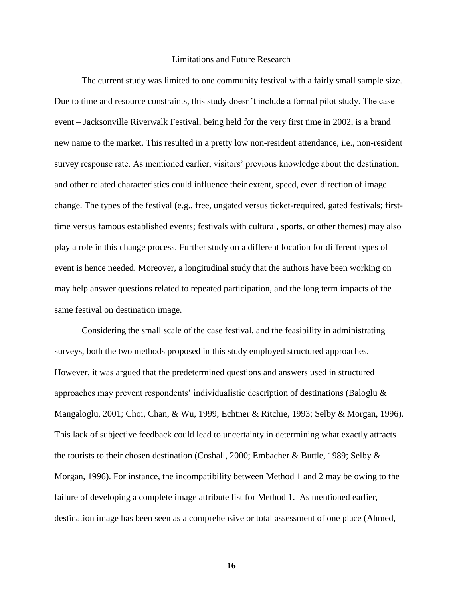#### Limitations and Future Research

The current study was limited to one community festival with a fairly small sample size. Due to time and resource constraints, this study doesn't include a formal pilot study. The case event – Jacksonville Riverwalk Festival, being held for the very first time in 2002, is a brand new name to the market. This resulted in a pretty low non-resident attendance, i.e., non-resident survey response rate. As mentioned earlier, visitors' previous knowledge about the destination, and other related characteristics could influence their extent, speed, even direction of image change. The types of the festival (e.g., free, ungated versus ticket-required, gated festivals; firsttime versus famous established events; festivals with cultural, sports, or other themes) may also play a role in this change process. Further study on a different location for different types of event is hence needed. Moreover, a longitudinal study that the authors have been working on may help answer questions related to repeated participation, and the long term impacts of the same festival on destination image.

Considering the small scale of the case festival, and the feasibility in administrating surveys, both the two methods proposed in this study employed structured approaches. However, it was argued that the predetermined questions and answers used in structured approaches may prevent respondents' individualistic description of destinations (Baloglu & Mangaloglu, 2001; Choi, Chan, & Wu, 1999; Echtner & Ritchie, 1993; Selby & Morgan, 1996). This lack of subjective feedback could lead to uncertainty in determining what exactly attracts the tourists to their chosen destination (Coshall, 2000; Embacher & Buttle, 1989; Selby & Morgan, 1996). For instance, the incompatibility between Method 1 and 2 may be owing to the failure of developing a complete image attribute list for Method 1. As mentioned earlier, destination image has been seen as a comprehensive or total assessment of one place (Ahmed,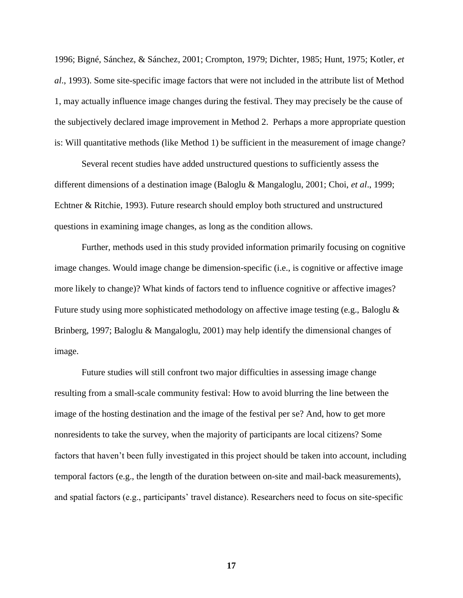1996; Bigné, Sánchez, & Sánchez, 2001; Crompton, 1979; Dichter, 1985; Hunt, 1975; Kotler, *et al*., 1993). Some site-specific image factors that were not included in the attribute list of Method 1, may actually influence image changes during the festival. They may precisely be the cause of the subjectively declared image improvement in Method 2. Perhaps a more appropriate question is: Will quantitative methods (like Method 1) be sufficient in the measurement of image change?

Several recent studies have added unstructured questions to sufficiently assess the different dimensions of a destination image (Baloglu & Mangaloglu, 2001; Choi, *et al*., 1999; Echtner & Ritchie, 1993). Future research should employ both structured and unstructured questions in examining image changes, as long as the condition allows.

Further, methods used in this study provided information primarily focusing on cognitive image changes. Would image change be dimension-specific (i.e., is cognitive or affective image more likely to change)? What kinds of factors tend to influence cognitive or affective images? Future study using more sophisticated methodology on affective image testing (e.g., Baloglu & Brinberg, 1997; Baloglu & Mangaloglu, 2001) may help identify the dimensional changes of image.

Future studies will still confront two major difficulties in assessing image change resulting from a small-scale community festival: How to avoid blurring the line between the image of the hosting destination and the image of the festival per se? And, how to get more nonresidents to take the survey, when the majority of participants are local citizens? Some factors that haven't been fully investigated in this project should be taken into account, including temporal factors (e.g., the length of the duration between on-site and mail-back measurements), and spatial factors (e.g., participants' travel distance). Researchers need to focus on site-specific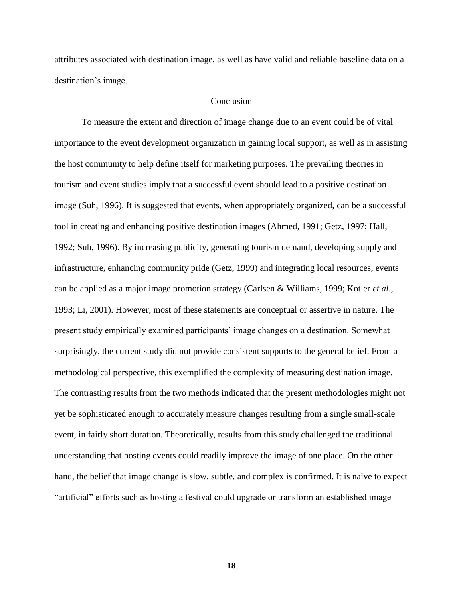attributes associated with destination image, as well as have valid and reliable baseline data on a destination's image.

# Conclusion

To measure the extent and direction of image change due to an event could be of vital importance to the event development organization in gaining local support, as well as in assisting the host community to help define itself for marketing purposes. The prevailing theories in tourism and event studies imply that a successful event should lead to a positive destination image (Suh, 1996). It is suggested that events, when appropriately organized, can be a successful tool in creating and enhancing positive destination images (Ahmed, 1991; Getz, 1997; Hall, 1992; Suh, 1996). By increasing publicity, generating tourism demand, developing supply and infrastructure, enhancing community pride (Getz, 1999) and integrating local resources, events can be applied as a major image promotion strategy (Carlsen & Williams, 1999; Kotler *et al*., 1993; Li, 2001). However, most of these statements are conceptual or assertive in nature. The present study empirically examined participants' image changes on a destination. Somewhat surprisingly, the current study did not provide consistent supports to the general belief. From a methodological perspective, this exemplified the complexity of measuring destination image. The contrasting results from the two methods indicated that the present methodologies might not yet be sophisticated enough to accurately measure changes resulting from a single small-scale event, in fairly short duration. Theoretically, results from this study challenged the traditional understanding that hosting events could readily improve the image of one place. On the other hand, the belief that image change is slow, subtle, and complex is confirmed. It is naïve to expect ―artificial‖ efforts such as hosting a festival could upgrade or transform an established image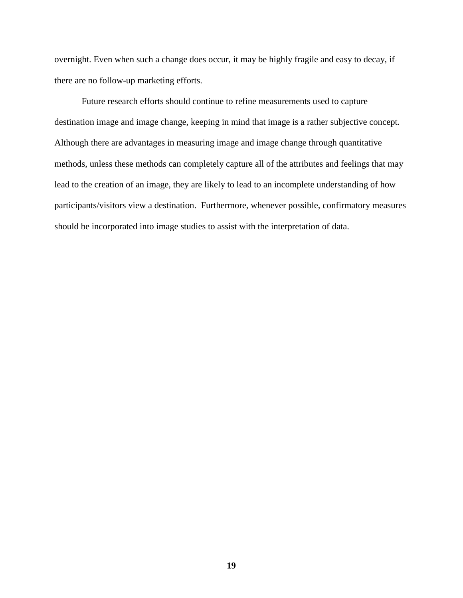overnight. Even when such a change does occur, it may be highly fragile and easy to decay, if there are no follow-up marketing efforts.

Future research efforts should continue to refine measurements used to capture destination image and image change, keeping in mind that image is a rather subjective concept. Although there are advantages in measuring image and image change through quantitative methods, unless these methods can completely capture all of the attributes and feelings that may lead to the creation of an image, they are likely to lead to an incomplete understanding of how participants/visitors view a destination. Furthermore, whenever possible, confirmatory measures should be incorporated into image studies to assist with the interpretation of data.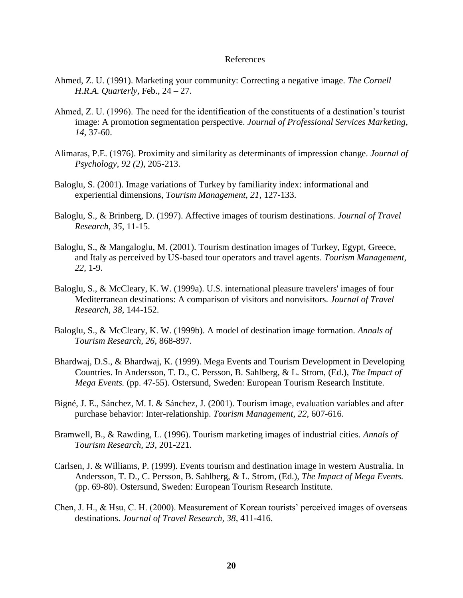#### References

- Ahmed, Z. U. (1991). Marketing your community: Correcting a negative image. *The Cornell H.R.A. Quarterly,* Feb., 24 – 27.
- Ahmed, Z. U. (1996). The need for the identification of the constituents of a destination's tourist image: A promotion segmentation perspective. *Journal of Professional Services Marketing, 14,* 37-60.
- Alimaras, P.E. (1976). Proximity and similarity as determinants of impression change. *Journal of Psychology, 92 (2),* 205-213.
- Baloglu, S. (2001). Image variations of Turkey by familiarity index: informational and experiential dimensions, *Tourism Management, 21,* 127-133.
- Baloglu, S., & Brinberg, D. (1997). Affective images of tourism destinations. *Journal of Travel Research, 35,* 11-15.
- Baloglu, S., & Mangaloglu, M. (2001). Tourism destination images of Turkey, Egypt, Greece, and Italy as perceived by US-based tour operators and travel agents. *Tourism Management, 22,* 1-9.
- Baloglu, S., & McCleary, K. W. (1999a). U.S. international pleasure travelers' images of four Mediterranean destinations: A comparison of visitors and nonvisitors. *Journal of Travel Research, 38,* 144-152.
- Baloglu, S., & McCleary, K. W. (1999b). A model of destination image formation. *Annals of Tourism Research, 26,* 868-897.
- Bhardwaj, D.S., & Bhardwaj, K. (1999). Mega Events and Tourism Development in Developing Countries. In Andersson, T. D., C. Persson, B. Sahlberg, & L. Strom, (Ed.), *The Impact of Mega Events.* (pp. 47-55). Ostersund, Sweden: European Tourism Research Institute.
- Bigné, J. E., Sánchez, M. I. & Sánchez, J. (2001). Tourism image, evaluation variables and after purchase behavior: Inter-relationship. *Tourism Management, 22,* 607-616.
- Bramwell, B., & Rawding, L. (1996). Tourism marketing images of industrial cities. *Annals of Tourism Research, 23,* 201-221.
- Carlsen, J. & Williams, P. (1999). Events tourism and destination image in western Australia. In Andersson, T. D., C. Persson, B. Sahlberg, & L. Strom, (Ed.), *The Impact of Mega Events.*  (pp. 69-80). Ostersund, Sweden: European Tourism Research Institute.
- Chen, J. H., & Hsu, C. H. (2000). Measurement of Korean tourists' perceived images of overseas destinations. *Journal of Travel Research, 38,* 411-416.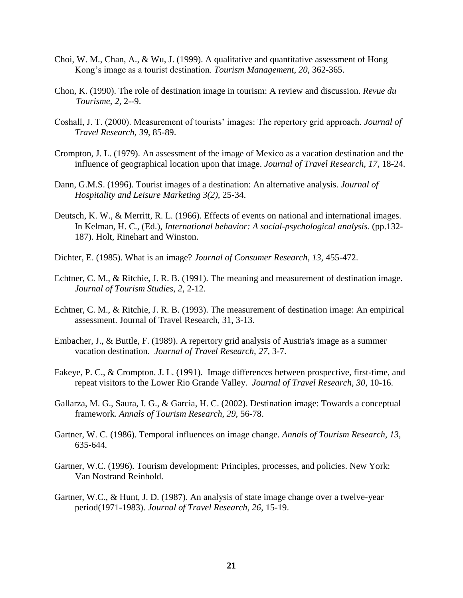- Choi, W. M., Chan, A., & Wu, J. (1999). A qualitative and quantitative assessment of Hong Kong's image as a tourist destination. *Tourism Management, 20,* 362-365.
- Chon, K. (1990). The role of destination image in tourism: A review and discussion. *Revue du Tourisme, 2,* 2--9.
- Coshall, J. T. (2000). Measurement of tourists' images: The repertory grid approach. *Journal of Travel Research, 39,* 85-89.
- Crompton, J. L. (1979). An assessment of the image of Mexico as a vacation destination and the influence of geographical location upon that image. *Journal of Travel Research, 17,* 18-24.
- Dann, G.M.S. (1996). Tourist images of a destination: An alternative analysis. *Journal of Hospitality and Leisure Marketing 3(2),* 25-34.
- Deutsch, K. W., & Merritt, R. L. (1966). Effects of events on national and international images. In Kelman, H. C., (Ed.), *International behavior: A social-psychological analysis.* (pp.132- 187). Holt, Rinehart and Winston.
- Dichter, E. (1985). What is an image? *Journal of Consumer Research*, *13,* 455-472.
- Echtner, C. M., & Ritchie, J. R. B. (1991). The meaning and measurement of destination image. *Journal of Tourism Studies, 2,* 2-12.
- Echtner, C. M., & Ritchie, J. R. B. (1993). The measurement of destination image: An empirical assessment. Journal of Travel Research, 31, 3-13.
- Embacher, J., & Buttle, F. (1989). A repertory grid analysis of Austria's image as a summer vacation destination. *Journal of Travel Research, 27,* 3-7.
- Fakeye, P. C., & Crompton. J. L. (1991). Image differences between prospective, first-time, and repeat visitors to the Lower Rio Grande Valley. *Journal of Travel Research, 30,* 10-16.
- Gallarza, M. G., Saura, I. G., & Garcia, H. C. (2002). Destination image: Towards a conceptual framework. *Annals of Tourism Research, 29,* 56-78.
- Gartner, W. C. (1986). Temporal influences on image change. *Annals of Tourism Research, 13,*  635-644*.*
- Gartner, W.C. (1996). Tourism development: Principles, processes, and policies. New York: Van Nostrand Reinhold.
- Gartner, W.C., & Hunt, J. D. (1987). An analysis of state image change over a twelve-year period(1971-1983). *Journal of Travel Research, 26,* 15-19.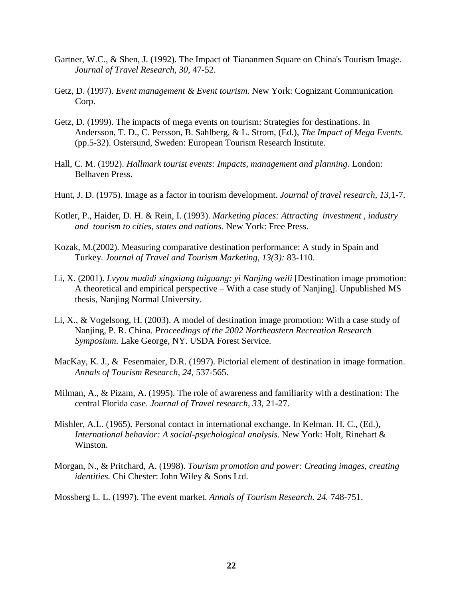- Gartner, W.C., & Shen, J. (1992). The Impact of Tiananmen Square on China's Tourism Image. *Journal of Travel Research, 30,* 47-52.
- Getz, D. (1997). *Event management & Event tourism.* New York: Cognizant Communication Corp.
- Getz, D. (1999). The impacts of mega events on tourism: Strategies for destinations. In Andersson, T. D., C. Persson, B. Sahlberg, & L. Strom, (Ed.), *The Impact of Mega Events.*  (pp.5-32). Ostersund, Sweden: European Tourism Research Institute.
- Hall, C. M. (1992). *Hallmark tourist events: Impacts, management and planning.* London: Belhaven Press.
- Hunt, J. D. (1975). Image as a factor in tourism development. *Journal of travel research, 13,*1-7.
- Kotler, P., Haider, D. H. & Rein, I. (1993). *Marketing places: Attracting investment , industry and tourism to cities, states and nations.* New York: Free Press.
- Kozak, M.(2002). Measuring comparative destination performance: A study in Spain and Turkey. *Journal of Travel and Tourism Marketing, 13(3):* 83-110.
- Li, X. (2001). *Lvyou mudidi xingxiang tuiguang: yi Nanjing weili* [Destination image promotion: A theoretical and empirical perspective – With a case study of Nanjing]. Unpublished MS thesis, Nanjing Normal University.
- Li, X., & Vogelsong, H. (2003). A model of destination image promotion: With a case study of Nanjing, P. R. China. *Proceedings of the 2002 Northeastern Recreation Research Symposium*. Lake George, NY. USDA Forest Service.
- MacKay, K. J., & Fesenmaier, D.R. (1997). Pictorial element of destination in image formation. *Annals of Tourism Research, 24,* 537-565.
- Milman, A., & Pizam, A. (1995). The role of awareness and familiarity with a destination: The central Florida case. *Journal of Travel research, 33,* 21-27.
- Mishler, A.L. (1965). Personal contact in international exchange. In Kelman. H. C., (Ed.), *International behavior: A social-psychological analysis.* New York: Holt, Rinehart & Winston.
- Morgan, N., & Pritchard, A. (1998). *Tourism promotion and power: Creating images, creating identities.* Chi Chester: John Wiley & Sons Ltd.
- Mossberg L. L. (1997). The event market. *Annals of Tourism Research. 24.* 748-751.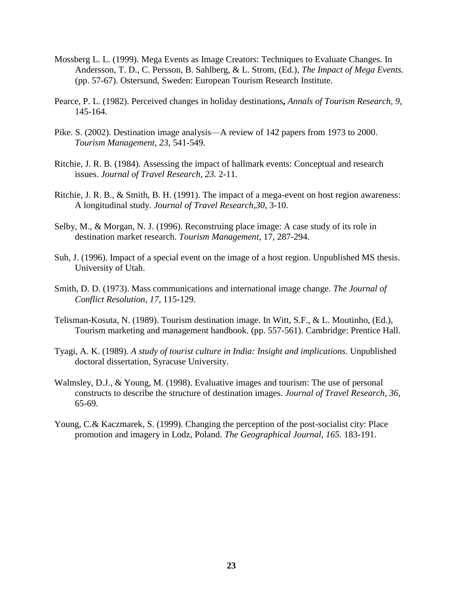- Mossberg L. L. (1999). Mega Events as Image Creators: Techniques to Evaluate Changes. In Andersson, T. D., C. Persson, B. Sahlberg, & L. Strom, (Ed.), *The Impact of Mega Events.*  (pp. 57-67). Ostersund, Sweden: European Tourism Research Institute.
- Pearce, P. L. (1982). Perceived changes in holiday destinations**,** *Annals of Tourism Research, 9,*  145-164.
- Pike. S. (2002). Destination image analysis––A review of 142 papers from 1973 to 2000. *Tourism Management, 23,* 541-549.
- Ritchie, J. R. B. (1984). Assessing the impact of hallmark events: Conceptual and research issues. *Journal of Travel Research, 23.* 2-11.
- Ritchie, J. R. B., & Smith, B. H. (1991). The impact of a mega-event on host region awareness: A longitudinal study. *Journal of Travel Research,30,* 3-10.
- Selby, M., & Morgan, N. J. (1996). Reconstruing place image: A case study of its role in destination market research. *Tourism Management*, 17*,* 287-294.
- Suh, J. (1996). Impact of a special event on the image of a host region. Unpublished MS thesis. University of Utah.
- Smith, D. D. (1973). Mass communications and international image change. *The Journal of Conflict Resolution, 17,* 115-129.
- Telisman-Kosuta, N. (1989). Tourism destination image. In Witt, S.F., & L. Moutinho, (Ed.), Tourism marketing and management handbook. (pp. 557-561). Cambridge: Prentice Hall.
- Tyagi, A. K. (1989). *A study of tourist culture in India: Insight and implications.* Unpublished doctoral dissertation, Syracuse University.
- Walmsley, D.J., & Young, M. (1998). Evaluative images and tourism: The use of personal constructs to describe the structure of destination images. *Journal of Travel Research, 36,* 65-69.
- Young, C.& Kaczmarek, S. (1999). Changing the perception of the post-socialist city: Place promotion and imagery in Lodz, Poland. *The Geographical Journal, 165.* 183-191.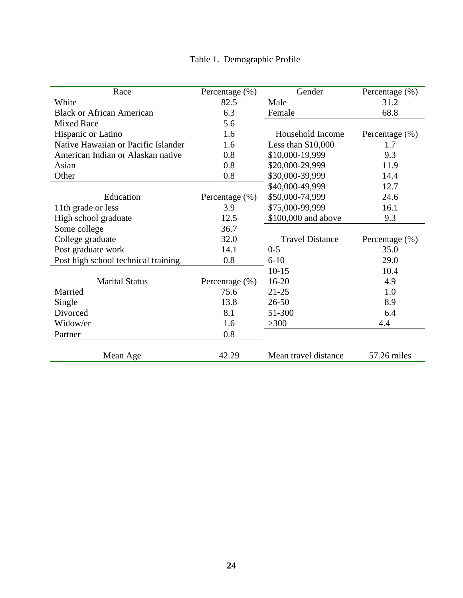|  | Table 1. Demographic Profile |  |
|--|------------------------------|--|
|--|------------------------------|--|

| Race                                | Percentage $(\%)$  | Gender                 | Percentage (%)     |
|-------------------------------------|--------------------|------------------------|--------------------|
| White                               | 82.5               | Male                   | 31.2               |
| <b>Black or African American</b>    | 6.3                | Female                 | 68.8               |
| <b>Mixed Race</b>                   | 5.6                |                        |                    |
| Hispanic or Latino                  | 1.6                | Household Income       | Percentage $(\% )$ |
| Native Hawaiian or Pacific Islander | 1.6                | Less than $$10,000$    | 1.7                |
| American Indian or Alaskan native   | 0.8                | \$10,000-19,999        | 9.3                |
| Asian                               | 0.8                | \$20,000-29,999        | 11.9               |
| Other                               | 0.8                | \$30,000-39,999        | 14.4               |
|                                     |                    | \$40,000-49,999        | 12.7               |
| Education                           | Percentage $(\% )$ | \$50,000-74,999        | 24.6               |
| 11th grade or less                  | 3.9                | \$75,000-99,999        | 16.1               |
| High school graduate                | 12.5               | \$100,000 and above    | 9.3                |
| Some college                        | 36.7               |                        |                    |
| College graduate                    | 32.0               | <b>Travel Distance</b> | Percentage $(\% )$ |
| Post graduate work                  | 14.1               | $0 - 5$                | 35.0               |
| Post high school technical training | 0.8                | $6 - 10$               | 29.0               |
|                                     |                    | $10-15$                | 10.4               |
| <b>Marital Status</b>               | Percentage (%)     | $16 - 20$              | 4.9                |
| Married                             | 75.6               | $21 - 25$              | 1.0                |
| Single                              | 13.8               | $26 - 50$              | 8.9                |
| Divorced                            | 8.1                | 51-300                 | 6.4                |
| Widow/er                            | 1.6                | >300                   | 4.4                |
| Partner                             | 0.8                |                        |                    |
|                                     |                    |                        |                    |
| Mean Age                            | 42.29              | Mean travel distance   | 57.26 miles        |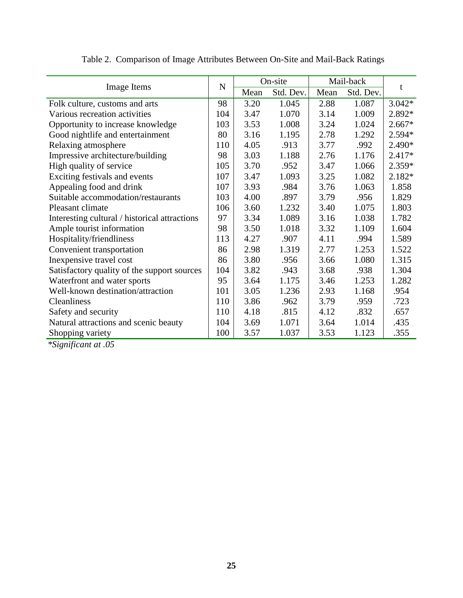|                                               | $\mathbf N$ | On-site |           | Mail-back |           |          |
|-----------------------------------------------|-------------|---------|-----------|-----------|-----------|----------|
| Image Items                                   |             | Mean    | Std. Dev. | Mean      | Std. Dev. | t        |
| Folk culture, customs and arts                | 98          | 3.20    | 1.045     | 2.88      | 1.087     | $3.042*$ |
| Various recreation activities                 | 104         | 3.47    | 1.070     | 3.14      | 1.009     | 2.892*   |
| Opportunity to increase knowledge             | 103         | 3.53    | 1.008     | 3.24      | 1.024     | $2.667*$ |
| Good nightlife and entertainment              | 80          | 3.16    | 1.195     | 2.78      | 1.292     | 2.594*   |
| Relaxing atmosphere                           | 110         | 4.05    | .913      | 3.77      | .992      | 2.490*   |
| Impressive architecture/building              | 98          | 3.03    | 1.188     | 2.76      | 1.176     | 2.417*   |
| High quality of service                       | 105         | 3.70    | .952      | 3.47      | 1.066     | 2.359*   |
| Exciting festivals and events                 | 107         | 3.47    | 1.093     | 3.25      | 1.082     | 2.182*   |
| Appealing food and drink                      | 107         | 3.93    | .984      | 3.76      | 1.063     | 1.858    |
| Suitable accommodation/restaurants            | 103         | 4.00    | .897      | 3.79      | .956      | 1.829    |
| Pleasant climate                              | 106         | 3.60    | 1.232     | 3.40      | 1.075     | 1.803    |
| Interesting cultural / historical attractions | 97          | 3.34    | 1.089     | 3.16      | 1.038     | 1.782    |
| Ample tourist information                     | 98          | 3.50    | 1.018     | 3.32      | 1.109     | 1.604    |
| Hospitality/friendliness                      | 113         | 4.27    | .907      | 4.11      | .994      | 1.589    |
| Convenient transportation                     | 86          | 2.98    | 1.319     | 2.77      | 1.253     | 1.522    |
| Inexpensive travel cost                       | 86          | 3.80    | .956      | 3.66      | 1.080     | 1.315    |
| Satisfactory quality of the support sources   | 104         | 3.82    | .943      | 3.68      | .938      | 1.304    |
| Waterfront and water sports                   | 95          | 3.64    | 1.175     | 3.46      | 1.253     | 1.282    |
| Well-known destination/attraction             | 101         | 3.05    | 1.236     | 2.93      | 1.168     | .954     |
| Cleanliness                                   | 110         | 3.86    | .962      | 3.79      | .959      | .723     |
| Safety and security                           | 110         | 4.18    | .815      | 4.12      | .832      | .657     |
| Natural attractions and scenic beauty         | 104         | 3.69    | 1.071     | 3.64      | 1.014     | .435     |
| Shopping variety                              | 100         | 3.57    | 1.037     | 3.53      | 1.123     | .355     |

Table 2. Comparison of Image Attributes Between On-Site and Mail-Back Ratings

*\*Significant at .05*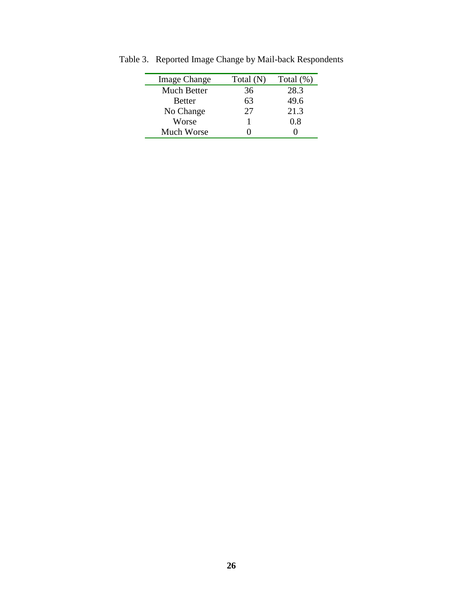| <b>Image Change</b> | Total (N) | Total $(\%)$ |
|---------------------|-----------|--------------|
| Much Better         | 36        | 28.3         |
| <b>Better</b>       | 63        | 49.6         |
| No Change           | 27        | 21.3         |
| Worse               |           | 0.8          |
| Much Worse          |           |              |

Table 3. Reported Image Change by Mail-back Respondents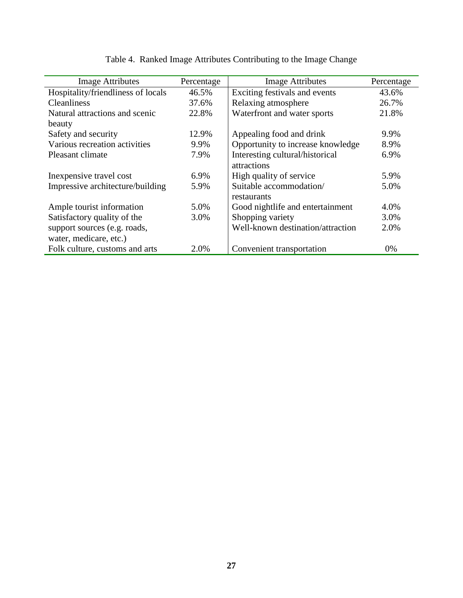| <b>Image Attributes</b>            | Percentage | <b>Image Attributes</b>           | Percentage |
|------------------------------------|------------|-----------------------------------|------------|
| Hospitality/friendliness of locals | 46.5%      | Exciting festivals and events     | 43.6%      |
| <b>Cleanliness</b>                 | 37.6%      | Relaxing atmosphere               | 26.7%      |
| Natural attractions and scenic     | 22.8%      | Waterfront and water sports       | 21.8%      |
| beauty                             |            |                                   |            |
| Safety and security                | 12.9%      | Appealing food and drink          | 9.9%       |
| Various recreation activities      | 9.9%       | Opportunity to increase knowledge | 8.9%       |
| Pleasant climate                   | 7.9%       | Interesting cultural/historical   | 6.9%       |
|                                    |            | attractions                       |            |
| In expensive travel cost           | $6.9\%$    | High quality of service           | 5.9%       |
| Impressive architecture/building   | 5.9%       | Suitable accommodation/           | 5.0%       |
|                                    |            | restaurants                       |            |
| Ample tourist information          | 5.0%       | Good nightlife and entertainment  | 4.0%       |
| Satisfactory quality of the        | 3.0%       | Shopping variety                  | 3.0%       |
| support sources (e.g. roads,       |            | Well-known destination/attraction | 2.0%       |
| water, medicare, etc.)             |            |                                   |            |
| Folk culture, customs and arts     | 2.0%       | Convenient transportation         | $0\%$      |

# Table 4. Ranked Image Attributes Contributing to the Image Change